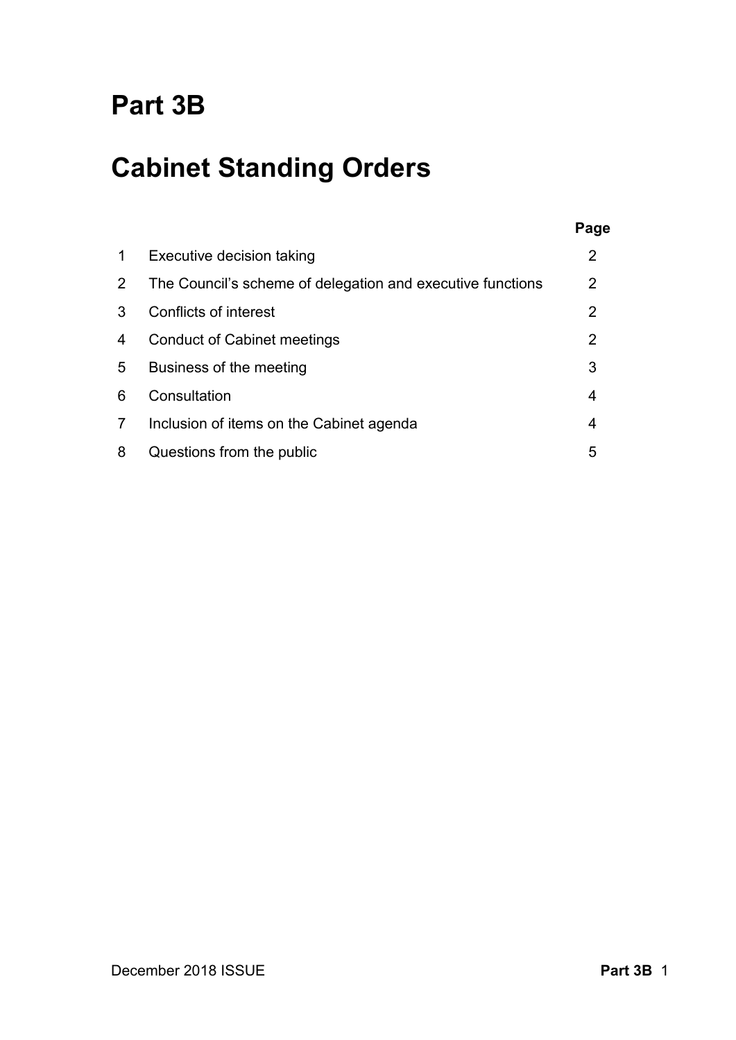## **Part 3B**

# **Cabinet Standing Orders**

| 1 | Executive decision taking                                  |   |
|---|------------------------------------------------------------|---|
| 2 | The Council's scheme of delegation and executive functions | 2 |
| 3 | Conflicts of interest                                      | 2 |
| 4 | <b>Conduct of Cabinet meetings</b>                         | 2 |
| 5 | Business of the meeting                                    | 3 |
| 6 | Consultation                                               | 4 |
| 7 | Inclusion of items on the Cabinet agenda                   | 4 |
| 8 | Questions from the public                                  | 5 |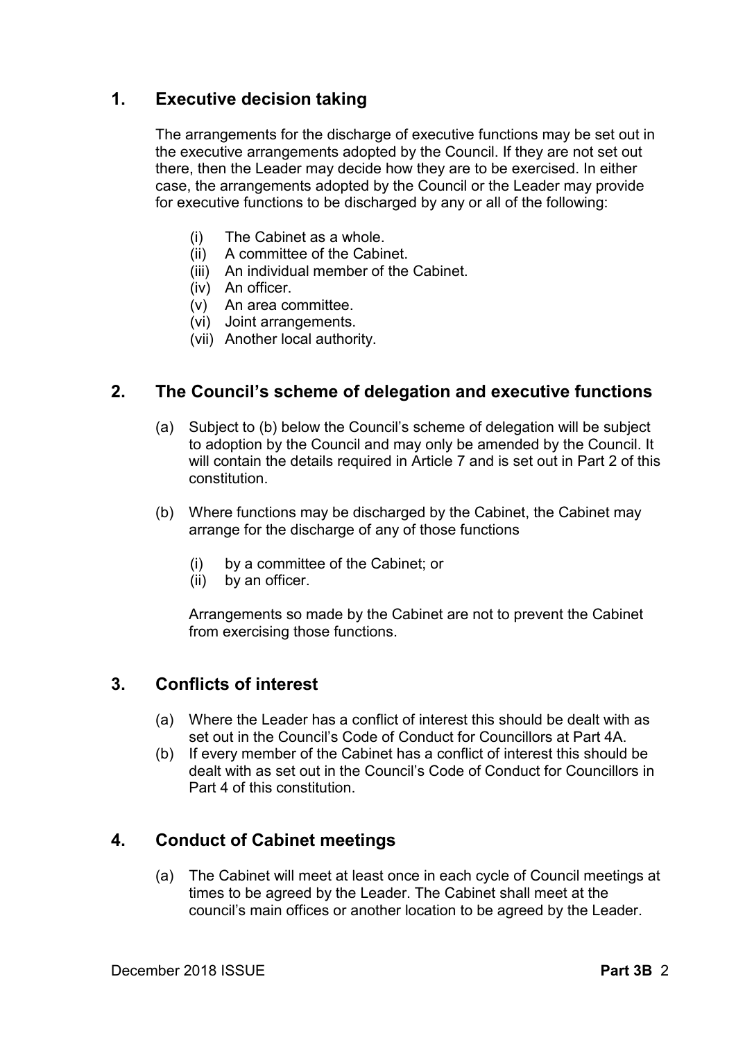## **1. Executive decision taking**

The arrangements for the discharge of executive functions may be set out in the executive arrangements adopted by the Council. If they are not set out there, then the Leader may decide how they are to be exercised. In either case, the arrangements adopted by the Council or the Leader may provide for executive functions to be discharged by any or all of the following:

- (i) The Cabinet as a whole.
- (ii) A committee of the Cabinet.
- (iii) An individual member of the Cabinet.
- (iv) An officer.
- (v) An area committee.
- (vi) Joint arrangements.
- (vii) Another local authority.

## **2. The Council's scheme of delegation and executive functions**

- (a) Subject to (b) below the Council's scheme of delegation will be subject to adoption by the Council and may only be amended by the Council. It will contain the details required in Article 7 and is set out in Part 2 of this constitution.
- (b) Where functions may be discharged by the Cabinet, the Cabinet may arrange for the discharge of any of those functions
	- (i) by a committee of the Cabinet; or  $(ii)$  by an officer.
	- by an officer.

Arrangements so made by the Cabinet are not to prevent the Cabinet from exercising those functions.

## **3. Conflicts of interest**

- (a) Where the Leader has a conflict of interest this should be dealt with as set out in the Council's Code of Conduct for Councillors at Part 4A.
- (b) If every member of the Cabinet has a conflict of interest this should be dealt with as set out in the Council's Code of Conduct for Councillors in Part 4 of this constitution.

## **4. Conduct of Cabinet meetings**

(a) The Cabinet will meet at least once in each cycle of Council meetings at times to be agreed by the Leader. The Cabinet shall meet at the council's main offices or another location to be agreed by the Leader.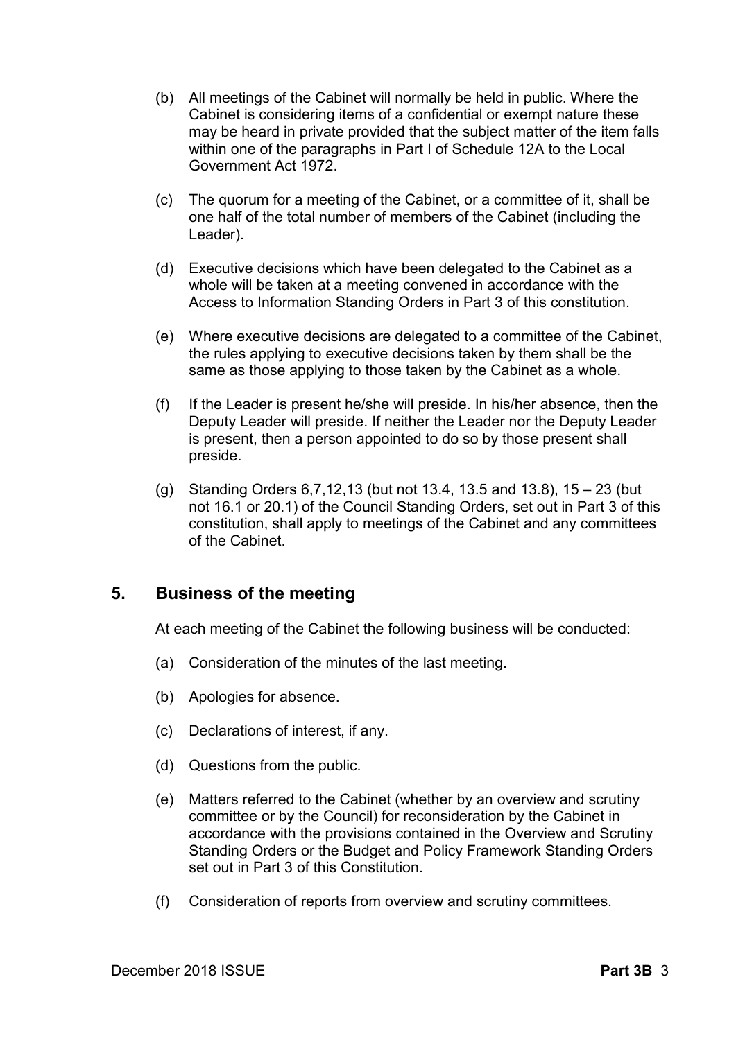- (b) All meetings of the Cabinet will normally be held in public. Where the Cabinet is considering items of a confidential or exempt nature these may be heard in private provided that the subject matter of the item falls within one of the paragraphs in Part I of Schedule 12A to the Local Government Act 1972.
- (c) The quorum for a meeting of the Cabinet, or a committee of it, shall be one half of the total number of members of the Cabinet (including the Leader).
- (d) Executive decisions which have been delegated to the Cabinet as a whole will be taken at a meeting convened in accordance with the Access to Information Standing Orders in Part 3 of this constitution.
- (e) Where executive decisions are delegated to a committee of the Cabinet, the rules applying to executive decisions taken by them shall be the same as those applying to those taken by the Cabinet as a whole.
- (f) If the Leader is present he/she will preside. In his/her absence, then the Deputy Leader will preside. If neither the Leader nor the Deputy Leader is present, then a person appointed to do so by those present shall preside.
- (g) Standing Orders 6,7,12,13 (but not 13.4, 13.5 and 13.8), 15 23 (but not 16.1 or 20.1) of the Council Standing Orders, set out in Part 3 of this constitution, shall apply to meetings of the Cabinet and any committees of the Cabinet.

## **5. Business of the meeting**

At each meeting of the Cabinet the following business will be conducted:

- (a) Consideration of the minutes of the last meeting.
- (b) Apologies for absence.
- (c) Declarations of interest, if any.
- (d) Questions from the public.
- (e) Matters referred to the Cabinet (whether by an overview and scrutiny committee or by the Council) for reconsideration by the Cabinet in accordance with the provisions contained in the Overview and Scrutiny Standing Orders or the Budget and Policy Framework Standing Orders set out in Part 3 of this Constitution.
- (f) Consideration of reports from overview and scrutiny committees.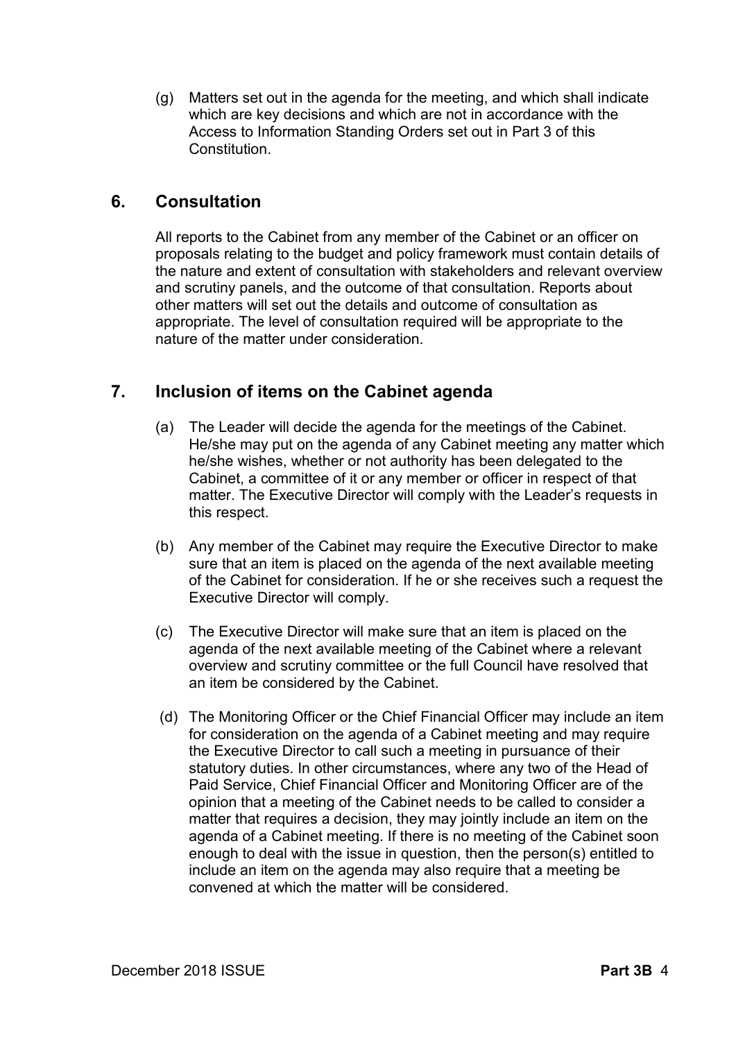(g) Matters set out in the agenda for the meeting, and which shall indicate which are key decisions and which are not in accordance with the Access to Information Standing Orders set out in Part 3 of this **Constitution** 

## **6. Consultation**

All reports to the Cabinet from any member of the Cabinet or an officer on proposals relating to the budget and policy framework must contain details of the nature and extent of consultation with stakeholders and relevant overview and scrutiny panels, and the outcome of that consultation. Reports about other matters will set out the details and outcome of consultation as appropriate. The level of consultation required will be appropriate to the nature of the matter under consideration.

## **7. Inclusion of items on the Cabinet agenda**

- (a) The Leader will decide the agenda for the meetings of the Cabinet. He/she may put on the agenda of any Cabinet meeting any matter which he/she wishes, whether or not authority has been delegated to the Cabinet, a committee of it or any member or officer in respect of that matter. The Executive Director will comply with the Leader's requests in this respect.
- (b) Any member of the Cabinet may require the Executive Director to make sure that an item is placed on the agenda of the next available meeting of the Cabinet for consideration. If he or she receives such a request the Executive Director will comply.
- (c) The Executive Director will make sure that an item is placed on the agenda of the next available meeting of the Cabinet where a relevant overview and scrutiny committee or the full Council have resolved that an item be considered by the Cabinet.
- (d) The Monitoring Officer or the Chief Financial Officer may include an item for consideration on the agenda of a Cabinet meeting and may require the Executive Director to call such a meeting in pursuance of their statutory duties. In other circumstances, where any two of the Head of Paid Service, Chief Financial Officer and Monitoring Officer are of the opinion that a meeting of the Cabinet needs to be called to consider a matter that requires a decision, they may jointly include an item on the agenda of a Cabinet meeting. If there is no meeting of the Cabinet soon enough to deal with the issue in question, then the person(s) entitled to include an item on the agenda may also require that a meeting be convened at which the matter will be considered.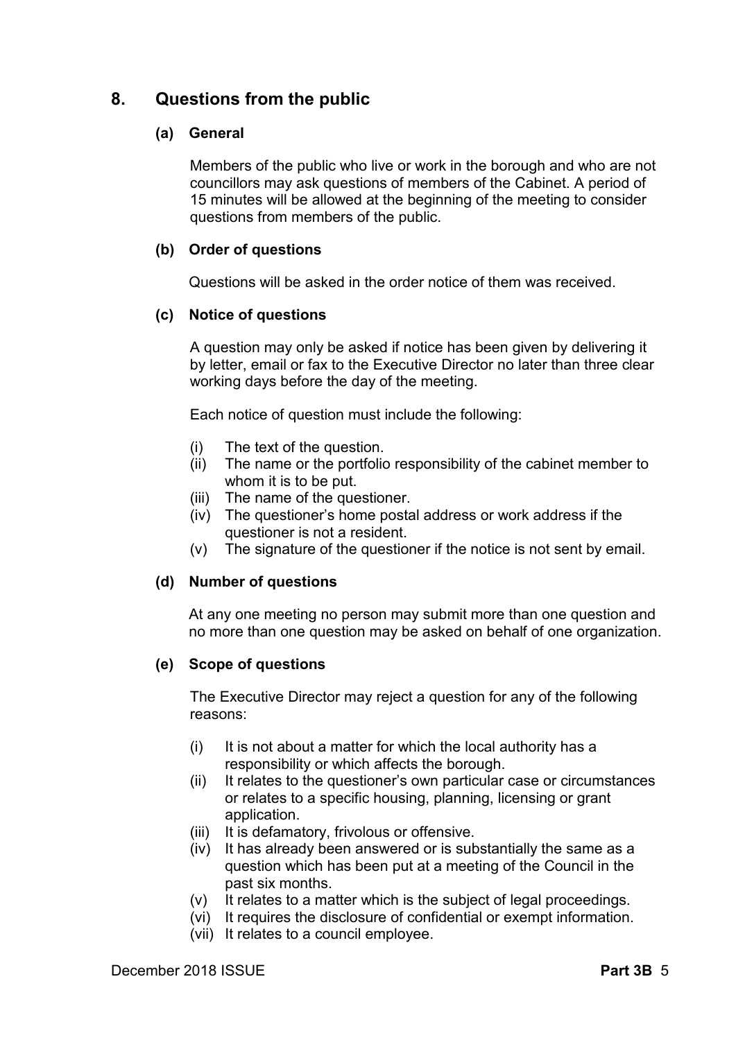## **8. Questions from the public**

#### **(a) General**

Members of the public who live or work in the borough and who are not councillors may ask questions of members of the Cabinet. A period of 15 minutes will be allowed at the beginning of the meeting to consider questions from members of the public.

#### **(b) Order of questions**

Questions will be asked in the order notice of them was received.

#### **(c) Notice of questions**

A question may only be asked if notice has been given by delivering it by letter, email or fax to the Executive Director no later than three clear working days before the day of the meeting.

Each notice of question must include the following:

- (i) The text of the question.
- (ii) The name or the portfolio responsibility of the cabinet member to whom it is to be put.
- (iii) The name of the questioner.
- (iv) The questioner's home postal address or work address if the questioner is not a resident.
- (v) The signature of the questioner if the notice is not sent by email.

#### **(d) Number of questions**

At any one meeting no person may submit more than one question and no more than one question may be asked on behalf of one organization.

#### **(e) Scope of questions**

The Executive Director may reject a question for any of the following reasons:

- (i) It is not about a matter for which the local authority has a responsibility or which affects the borough.
- (ii) It relates to the questioner's own particular case or circumstances or relates to a specific housing, planning, licensing or grant application.
- (iii) It is defamatory, frivolous or offensive.
- (iv) It has already been answered or is substantially the same as a question which has been put at a meeting of the Council in the past six months.
- (v) It relates to a matter which is the subject of legal proceedings.
- (vi) It requires the disclosure of confidential or exempt information.
- (vii) It relates to a council employee.